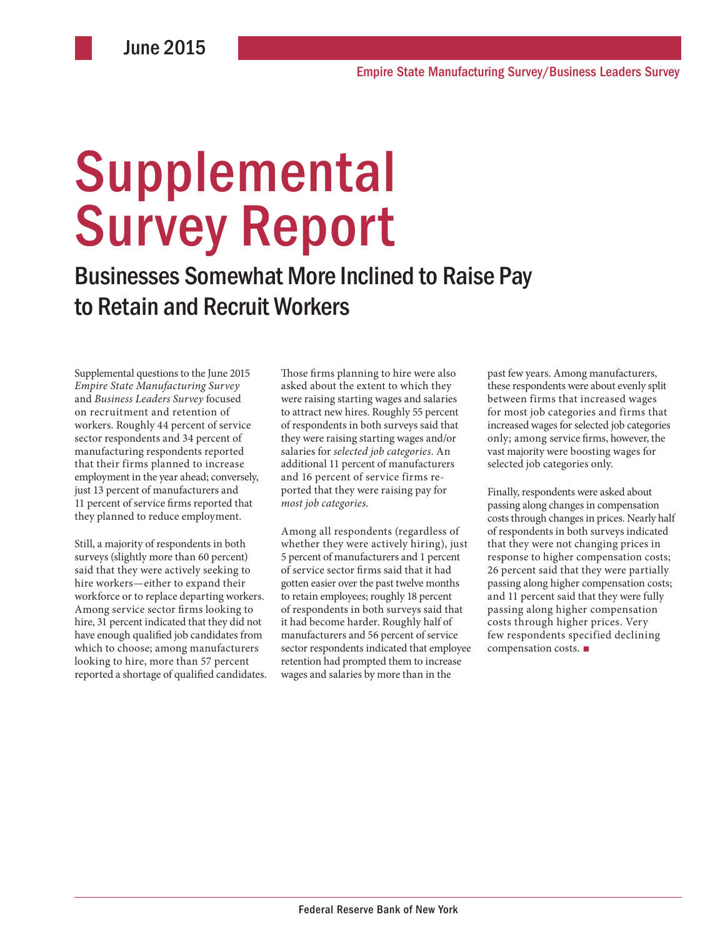# Supplemental Survey Report

Businesses Somewhat More Inclined to Raise Pay to Retain and Recruit Workers

Supplemental questions to the June 2015 *Empire State Manufacturing Survey* and *Business Leaders Survey* focused on recruitment and retention of workers. Roughly 44 percent of service sector respondents and 34 percent of manufacturing respondents reported that their firms planned to increase employment in the year ahead; conversely, just 13 percent of manufacturers and 11 percent of service firms reported that they planned to reduce employment.

Still, a majority of respondents in both surveys (slightly more than 60 percent) said that they were actively seeking to hire workers—either to expand their workforce or to replace departing workers. Among service sector firms looking to hire, 31 percent indicated that they did not have enough qualified job candidates from which to choose; among manufacturers looking to hire, more than 57 percent reported a shortage of qualified candidates. Those firms planning to hire were also asked about the extent to which they were raising starting wages and salaries to attract new hires. Roughly 55 percent of respondents in both surveys said that they were raising starting wages and/or salaries for *selected job categories*. An additional 11 percent of manufacturers and 16 percent of service firms reported that they were raising pay for *most job categories*.

Among all respondents (regardless of whether they were actively hiring), just 5 percent of manufacturers and 1 percent of service sector firms said that it had gotten easier over the past twelve months to retain employees; roughly 18 percent of respondents in both surveys said that it had become harder. Roughly half of manufacturers and 56 percent of service sector respondents indicated that employee retention had prompted them to increase wages and salaries by more than in the

past few years. Among manufacturers, these respondents were about evenly split between firms that increased wages for most job categories and firms that increased wages for selected job categories only; among service firms, however, the vast majority were boosting wages for selected job categories only.

Finally, respondents were asked about passing along changes in compensation costs through changes in prices. Nearly half of respondents in both surveys indicated that they were not changing prices in response to higher compensation costs; 26 percent said that they were partially passing along higher compensation costs; and 11 percent said that they were fully passing along higher compensation costs through higher prices. Very few respondents specified declining compensation costs. ■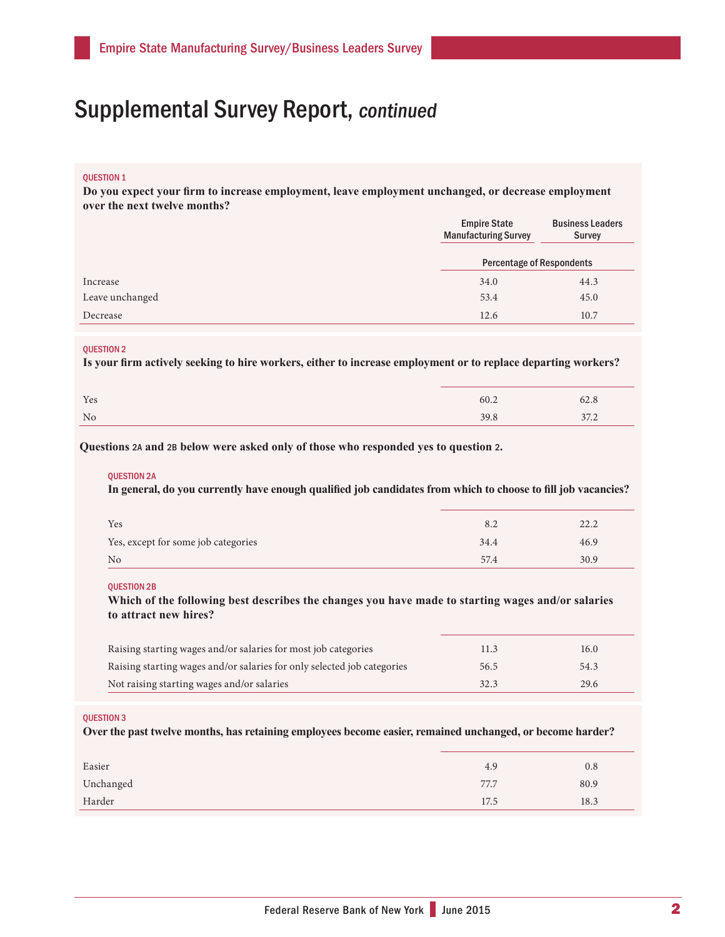## Supplemental Survey Report, continued

## QUESTION 1

**Do you expect your firm to increase employment, leave employment unchanged, or decrease employment over the next twelve months?** 

|                 | <b>Empire State</b><br><b>Manufacturing Survey</b> | <b>Business Leaders</b><br><b>Survey</b> |
|-----------------|----------------------------------------------------|------------------------------------------|
|                 | <b>Percentage of Respondents</b>                   |                                          |
| Increase        | 34.0                                               | 44.3                                     |
| Leave unchanged | 53.4                                               | 45.0                                     |
| Decrease        | 12.6                                               | 10.7                                     |

#### QUESTION 2

**Is your firm actively seeking to hire workers, either to increase employment or to replace departing workers?**

| Yes            | 60.2 | 62.8 |
|----------------|------|------|
| N <sub>0</sub> | 39.8 | 37.2 |

**Questions** 2A **and** 2B **below were asked only of those who responded yes to question** 2**.**

#### QUESTION 2A

**In general, do you currently have enough qualified job candidates from which to choose to fill job vacancies?**

| Yes                                 | 8.2  | 22.2 |
|-------------------------------------|------|------|
| Yes, except for some job categories | 34.4 | 46.9 |
| No                                  | 57.4 | 30.9 |

#### QUESTION 2B

**Which of the following best describes the changes you have made to starting wages and/or salaries to attract new hires?**

| Raising starting wages and/or salaries for most job categories          | 11.3 | 16.0 |
|-------------------------------------------------------------------------|------|------|
| Raising starting wages and/or salaries for only selected job categories | 56.5 | 54.3 |
| Not raising starting wages and/or salaries                              | 32.3 | 29.6 |

#### QUESTION 3

**Over the past twelve months, has retaining employees become easier, remained unchanged, or become harder?**

| Easier    | 4.9  | 0.8  |
|-----------|------|------|
| Unchanged | 77.7 | 80.9 |
| Harder    | 17.5 | 18.3 |